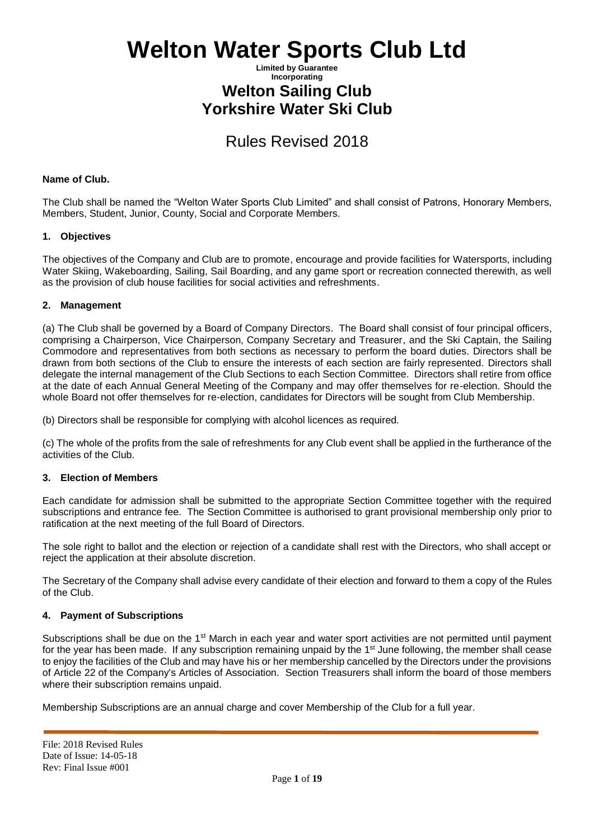### **Limited by Guarantee Incorporating Welton Sailing Club Yorkshire Water Ski Club**

# Rules Revised 2018

### **Name of Club.**

The Club shall be named the "Welton Water Sports Club Limited" and shall consist of Patrons, Honorary Members, Members, Student, Junior, County, Social and Corporate Members.

### **1. Objectives**

The objectives of the Company and Club are to promote, encourage and provide facilities for Watersports, including Water Skiing, Wakeboarding, Sailing, Sail Boarding, and any game sport or recreation connected therewith, as well as the provision of club house facilities for social activities and refreshments.

### **2. Management**

(a) The Club shall be governed by a Board of Company Directors. The Board shall consist of four principal officers, comprising a Chairperson, Vice Chairperson, Company Secretary and Treasurer, and the Ski Captain, the Sailing Commodore and representatives from both sections as necessary to perform the board duties. Directors shall be drawn from both sections of the Club to ensure the interests of each section are fairly represented. Directors shall delegate the internal management of the Club Sections to each Section Committee. Directors shall retire from office at the date of each Annual General Meeting of the Company and may offer themselves for re-election. Should the whole Board not offer themselves for re-election, candidates for Directors will be sought from Club Membership.

(b) Directors shall be responsible for complying with alcohol licences as required.

(c) The whole of the profits from the sale of refreshments for any Club event shall be applied in the furtherance of the activities of the Club.

### **3. Election of Members**

Each candidate for admission shall be submitted to the appropriate Section Committee together with the required subscriptions and entrance fee. The Section Committee is authorised to grant provisional membership only prior to ratification at the next meeting of the full Board of Directors.

The sole right to ballot and the election or rejection of a candidate shall rest with the Directors, who shall accept or reject the application at their absolute discretion.

The Secretary of the Company shall advise every candidate of their election and forward to them a copy of the Rules of the Club.

### **4. Payment of Subscriptions**

Subscriptions shall be due on the 1<sup>st</sup> March in each year and water sport activities are not permitted until payment for the year has been made. If any subscription remaining unpaid by the 1<sup>st</sup> June following, the member shall cease to enjoy the facilities of the Club and may have his or her membership cancelled by the Directors under the provisions of Article 22 of the Company's Articles of Association. Section Treasurers shall inform the board of those members where their subscription remains unpaid.

Membership Subscriptions are an annual charge and cover Membership of the Club for a full year.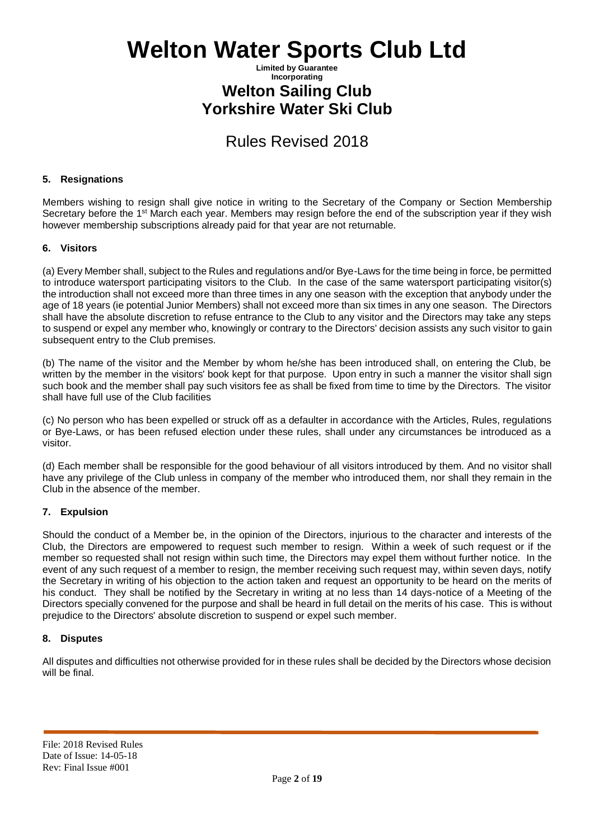## **Limited by Guarantee Incorporating Welton Sailing Club Yorkshire Water Ski Club**

# Rules Revised 2018

### **5. Resignations**

Members wishing to resign shall give notice in writing to the Secretary of the Company or Section Membership Secretary before the 1<sup>st</sup> March each year. Members may resign before the end of the subscription year if they wish however membership subscriptions already paid for that year are not returnable.

### **6. Visitors**

(a) Every Member shall, subject to the Rules and regulations and/or Bye-Laws for the time being in force, be permitted to introduce watersport participating visitors to the Club. In the case of the same watersport participating visitor(s) the introduction shall not exceed more than three times in any one season with the exception that anybody under the age of 18 years (ie potential Junior Members) shall not exceed more than six times in any one season. The Directors shall have the absolute discretion to refuse entrance to the Club to any visitor and the Directors may take any steps to suspend or expel any member who, knowingly or contrary to the Directors' decision assists any such visitor to gain subsequent entry to the Club premises.

(b) The name of the visitor and the Member by whom he/she has been introduced shall, on entering the Club, be written by the member in the visitors' book kept for that purpose. Upon entry in such a manner the visitor shall sign such book and the member shall pay such visitors fee as shall be fixed from time to time by the Directors. The visitor shall have full use of the Club facilities

(c) No person who has been expelled or struck off as a defaulter in accordance with the Articles, Rules, regulations or Bye-Laws, or has been refused election under these rules, shall under any circumstances be introduced as a visitor.

(d) Each member shall be responsible for the good behaviour of all visitors introduced by them. And no visitor shall have any privilege of the Club unless in company of the member who introduced them, nor shall they remain in the Club in the absence of the member.

### **7. Expulsion**

Should the conduct of a Member be, in the opinion of the Directors, injurious to the character and interests of the Club, the Directors are empowered to request such member to resign. Within a week of such request or if the member so requested shall not resign within such time, the Directors may expel them without further notice. In the event of any such request of a member to resign, the member receiving such request may, within seven days, notify the Secretary in writing of his objection to the action taken and request an opportunity to be heard on the merits of his conduct. They shall be notified by the Secretary in writing at no less than 14 days-notice of a Meeting of the Directors specially convened for the purpose and shall be heard in full detail on the merits of his case. This is without prejudice to the Directors' absolute discretion to suspend or expel such member.

### **8. Disputes**

All disputes and difficulties not otherwise provided for in these rules shall be decided by the Directors whose decision will be final.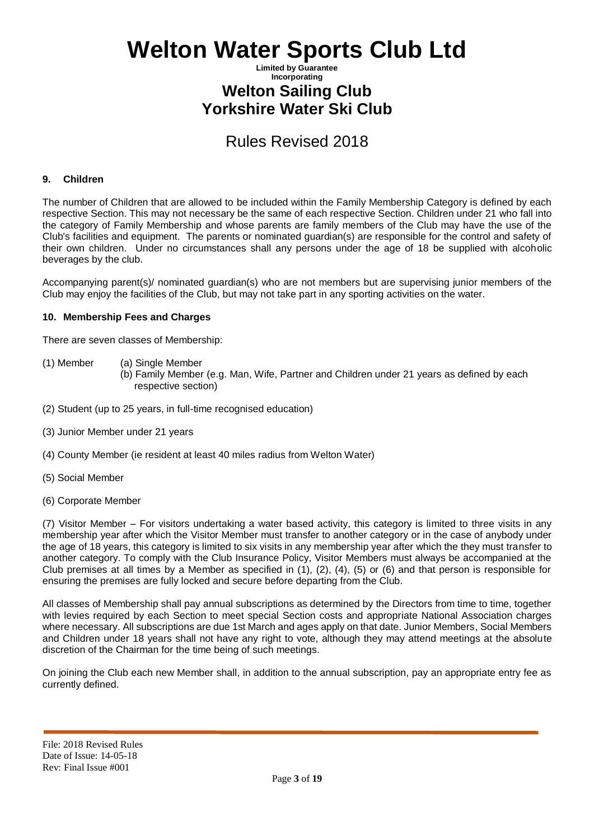### **Limited by Guarantee Incorporating Welton Sailing Club Yorkshire Water Ski Club**

# Rules Revised 2018

### **9. Children**

The number of Children that are allowed to be included within the Family Membership Category is defined by each respective Section. This may not necessary be the same of each respective Section. Children under 21 who fall into the category of Family Membership and whose parents are family members of the Club may have the use of the Club's facilities and equipment. The parents or nominated guardian(s) are responsible for the control and safety of their own children. Under no circumstances shall any persons under the age of 18 be supplied with alcoholic beverages by the club.

Accompanying parent(s)/ nominated guardian(s) who are not members but are supervising junior members of the Club may enjoy the facilities of the Club, but may not take part in any sporting activities on the water.

#### **10. Membership Fees and Charges**

There are seven classes of Membership:

- (1) Member (a) Single Member
	- (b) Family Member (e.g. Man, Wife, Partner and Children under 21 years as defined by each respective section)
- (2) Student (up to 25 years, in full-time recognised education)
- (3) Junior Member under 21 years
- (4) County Member (ie resident at least 40 miles radius from Welton Water)
- (5) Social Member
- (6) Corporate Member

(7) Visitor Member – For visitors undertaking a water based activity, this category is limited to three visits in any membership year after which the Visitor Member must transfer to another category or in the case of anybody under the age of 18 years, this category is limited to six visits in any membership year after which the they must transfer to another category. To comply with the Club Insurance Policy, Visitor Members must always be accompanied at the Club premises at all times by a Member as specified in (1), (2), (4), (5) or (6) and that person is responsible for ensuring the premises are fully locked and secure before departing from the Club.

All classes of Membership shall pay annual subscriptions as determined by the Directors from time to time, together with levies required by each Section to meet special Section costs and appropriate National Association charges where necessary. All subscriptions are due 1st March and ages apply on that date. Junior Members, Social Members and Children under 18 years shall not have any right to vote, although they may attend meetings at the absolute discretion of the Chairman for the time being of such meetings.

On joining the Club each new Member shall, in addition to the annual subscription, pay an appropriate entry fee as currently defined.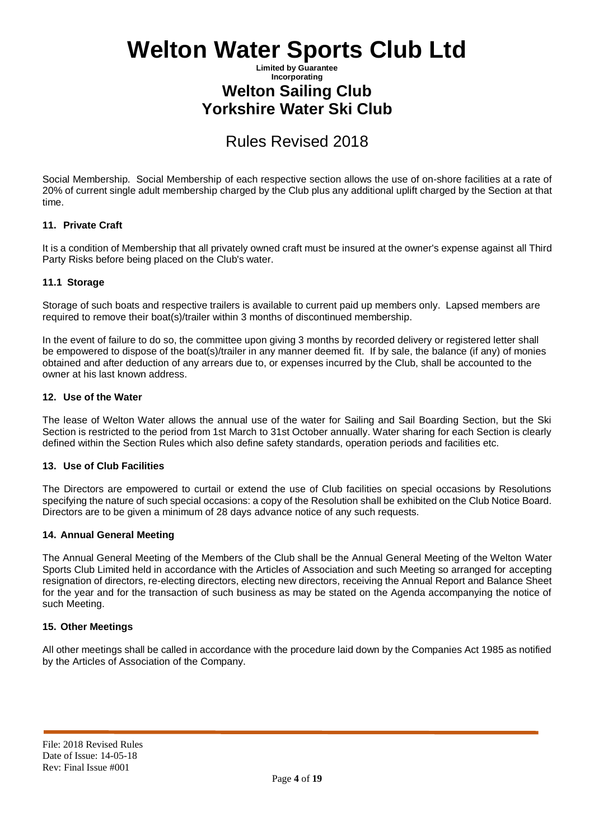## **Limited by Guarantee Incorporating Welton Sailing Club Yorkshire Water Ski Club**

# Rules Revised 2018

Social Membership. Social Membership of each respective section allows the use of on-shore facilities at a rate of 20% of current single adult membership charged by the Club plus any additional uplift charged by the Section at that time.

### **11. Private Craft**

It is a condition of Membership that all privately owned craft must be insured at the owner's expense against all Third Party Risks before being placed on the Club's water.

### **11.1 Storage**

Storage of such boats and respective trailers is available to current paid up members only. Lapsed members are required to remove their boat(s)/trailer within 3 months of discontinued membership.

In the event of failure to do so, the committee upon giving 3 months by recorded delivery or registered letter shall be empowered to dispose of the boat(s)/trailer in any manner deemed fit. If by sale, the balance (if any) of monies obtained and after deduction of any arrears due to, or expenses incurred by the Club, shall be accounted to the owner at his last known address.

### **12. Use of the Water**

The lease of Welton Water allows the annual use of the water for Sailing and Sail Boarding Section, but the Ski Section is restricted to the period from 1st March to 31st October annually. Water sharing for each Section is clearly defined within the Section Rules which also define safety standards, operation periods and facilities etc.

### **13. Use of Club Facilities**

The Directors are empowered to curtail or extend the use of Club facilities on special occasions by Resolutions specifying the nature of such special occasions: a copy of the Resolution shall be exhibited on the Club Notice Board. Directors are to be given a minimum of 28 days advance notice of any such requests.

### **14. Annual General Meeting**

The Annual General Meeting of the Members of the Club shall be the Annual General Meeting of the Welton Water Sports Club Limited held in accordance with the Articles of Association and such Meeting so arranged for accepting resignation of directors, re-electing directors, electing new directors, receiving the Annual Report and Balance Sheet for the year and for the transaction of such business as may be stated on the Agenda accompanying the notice of such Meeting.

### **15. Other Meetings**

All other meetings shall be called in accordance with the procedure laid down by the Companies Act 1985 as notified by the Articles of Association of the Company.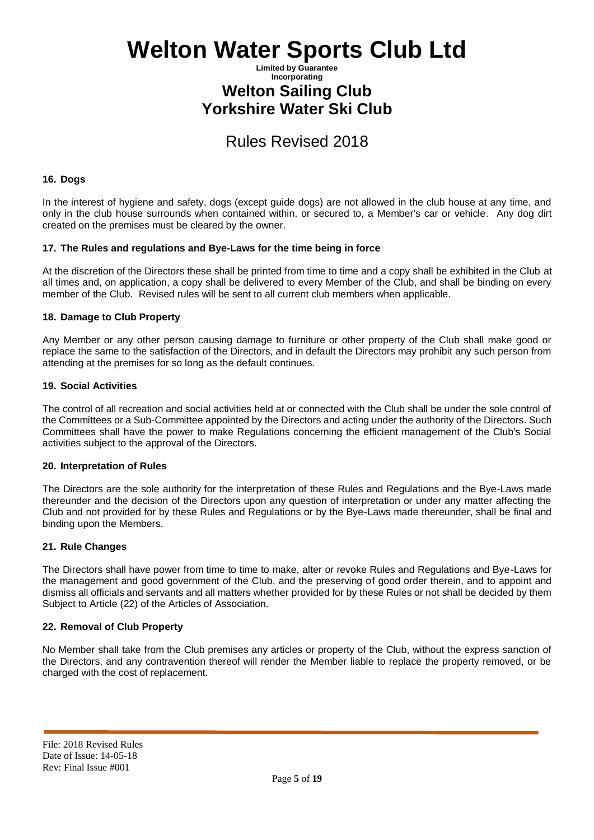### **Limited by Guarantee Incorporating Welton Sailing Club Yorkshire Water Ski Club**

# Rules Revised 2018

### **16. Dogs**

In the interest of hygiene and safety, dogs (except guide dogs) are not allowed in the club house at any time, and only in the club house surrounds when contained within, or secured to, a Member's car or vehicle. Any dog dirt created on the premises must be cleared by the owner.

#### **17. The Rules and regulations and Bye-Laws for the time being in force**

At the discretion of the Directors these shall be printed from time to time and a copy shall be exhibited in the Club at all times and, on application, a copy shall be delivered to every Member of the Club, and shall be binding on every member of the Club. Revised rules will be sent to all current club members when applicable.

### **18. Damage to Club Property**

Any Member or any other person causing damage to furniture or other property of the Club shall make good or replace the same to the satisfaction of the Directors, and in default the Directors may prohibit any such person from attending at the premises for so long as the default continues.

#### **19. Social Activities**

The control of all recreation and social activities held at or connected with the Club shall be under the sole control of the Committees or a Sub-Committee appointed by the Directors and acting under the authority of the Directors. Such Committees shall have the power to make Regulations concerning the efficient management of the Club's Social activities subject to the approval of the Directors.

#### **20. Interpretation of Rules**

The Directors are the sole authority for the interpretation of these Rules and Regulations and the Bye-Laws made thereunder and the decision of the Directors upon any question of interpretation or under any matter affecting the Club and not provided for by these Rules and Regulations or by the Bye-Laws made thereunder, shall be final and binding upon the Members.

#### **21. Rule Changes**

The Directors shall have power from time to time to make, alter or revoke Rules and Regulations and Bye-Laws for the management and good government of the Club, and the preserving of good order therein, and to appoint and dismiss all officials and servants and all matters whether provided for by these Rules or not shall be decided by them Subject to Article (22) of the Articles of Association.

### **22. Removal of Club Property**

No Member shall take from the Club premises any articles or property of the Club, without the express sanction of the Directors, and any contravention thereof will render the Member liable to replace the property removed, or be charged with the cost of replacement.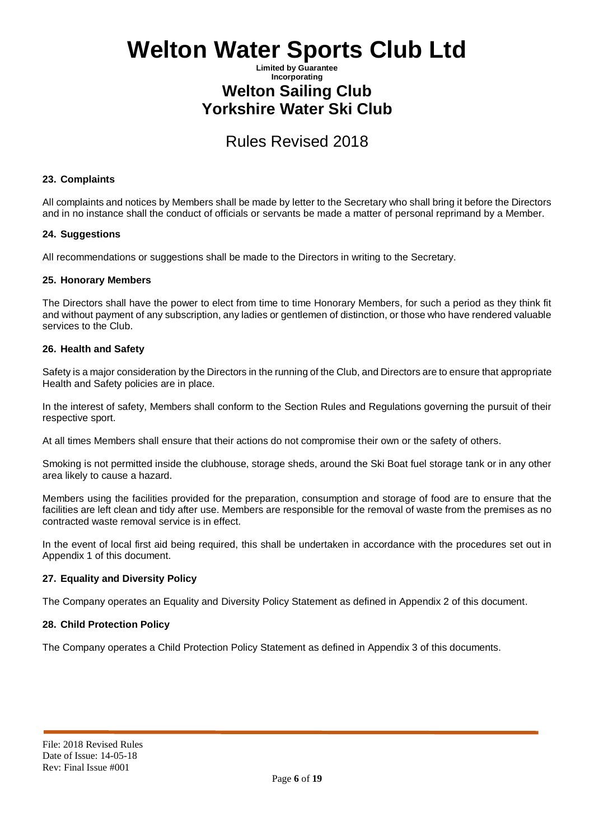## **Limited by Guarantee Incorporating Welton Sailing Club Yorkshire Water Ski Club**

# Rules Revised 2018

### **23. Complaints**

All complaints and notices by Members shall be made by letter to the Secretary who shall bring it before the Directors and in no instance shall the conduct of officials or servants be made a matter of personal reprimand by a Member.

### **24. Suggestions**

All recommendations or suggestions shall be made to the Directors in writing to the Secretary.

### **25. Honorary Members**

The Directors shall have the power to elect from time to time Honorary Members, for such a period as they think fit and without payment of any subscription, any ladies or gentlemen of distinction, or those who have rendered valuable services to the Club.

### **26. Health and Safety**

Safety is a major consideration by the Directors in the running of the Club, and Directors are to ensure that appropriate Health and Safety policies are in place.

In the interest of safety, Members shall conform to the Section Rules and Regulations governing the pursuit of their respective sport.

At all times Members shall ensure that their actions do not compromise their own or the safety of others.

Smoking is not permitted inside the clubhouse, storage sheds, around the Ski Boat fuel storage tank or in any other area likely to cause a hazard.

Members using the facilities provided for the preparation, consumption and storage of food are to ensure that the facilities are left clean and tidy after use. Members are responsible for the removal of waste from the premises as no contracted waste removal service is in effect.

In the event of local first aid being required, this shall be undertaken in accordance with the procedures set out in Appendix 1 of this document.

### **27. Equality and Diversity Policy**

The Company operates an Equality and Diversity Policy Statement as defined in Appendix 2 of this document.

### **28. Child Protection Policy**

The Company operates a Child Protection Policy Statement as defined in Appendix 3 of this documents.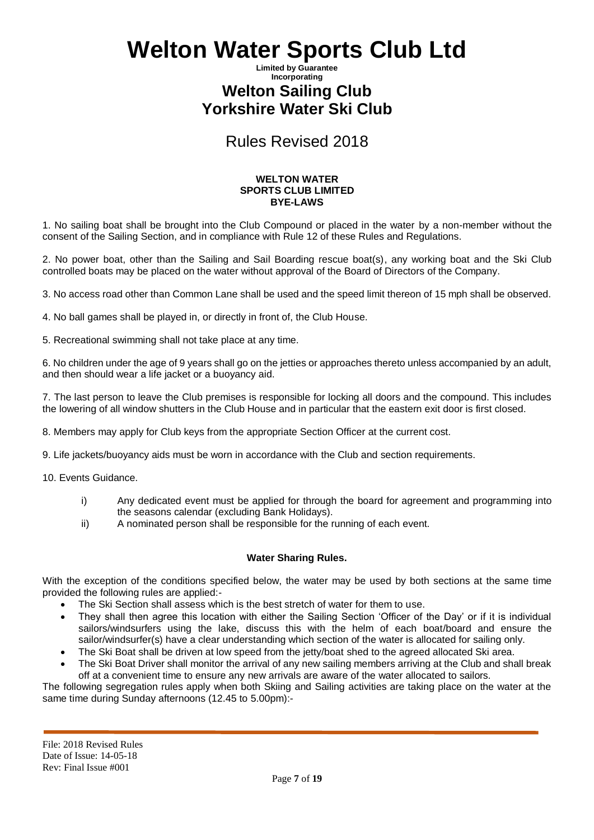### **Limited by Guarantee Incorporating Welton Sailing Club Yorkshire Water Ski Club**

# Rules Revised 2018

#### **WELTON WATER SPORTS CLUB LIMITED BYE-LAWS**

1. No sailing boat shall be brought into the Club Compound or placed in the water by a non-member without the consent of the Sailing Section, and in compliance with Rule 12 of these Rules and Regulations.

2. No power boat, other than the Sailing and Sail Boarding rescue boat(s), any working boat and the Ski Club controlled boats may be placed on the water without approval of the Board of Directors of the Company.

3. No access road other than Common Lane shall be used and the speed limit thereon of 15 mph shall be observed.

4. No ball games shall be played in, or directly in front of, the Club House.

5. Recreational swimming shall not take place at any time.

6. No children under the age of 9 years shall go on the jetties or approaches thereto unless accompanied by an adult, and then should wear a life jacket or a buoyancy aid.

7. The last person to leave the Club premises is responsible for locking all doors and the compound. This includes the lowering of all window shutters in the Club House and in particular that the eastern exit door is first closed.

8. Members may apply for Club keys from the appropriate Section Officer at the current cost.

9. Life jackets/buoyancy aids must be worn in accordance with the Club and section requirements.

- 10. Events Guidance.
	- i) Any dedicated event must be applied for through the board for agreement and programming into the seasons calendar (excluding Bank Holidays).
	- ii) A nominated person shall be responsible for the running of each event.

### **Water Sharing Rules.**

With the exception of the conditions specified below, the water may be used by both sections at the same time provided the following rules are applied:-

- The Ski Section shall assess which is the best stretch of water for them to use.
- They shall then agree this location with either the Sailing Section 'Officer of the Day' or if it is individual sailors/windsurfers using the lake, discuss this with the helm of each boat/board and ensure the sailor/windsurfer(s) have a clear understanding which section of the water is allocated for sailing only.
- The Ski Boat shall be driven at low speed from the jetty/boat shed to the agreed allocated Ski area.
- The Ski Boat Driver shall monitor the arrival of any new sailing members arriving at the Club and shall break off at a convenient time to ensure any new arrivals are aware of the water allocated to sailors.

The following segregation rules apply when both Skiing and Sailing activities are taking place on the water at the same time during Sunday afternoons (12.45 to 5.00pm):-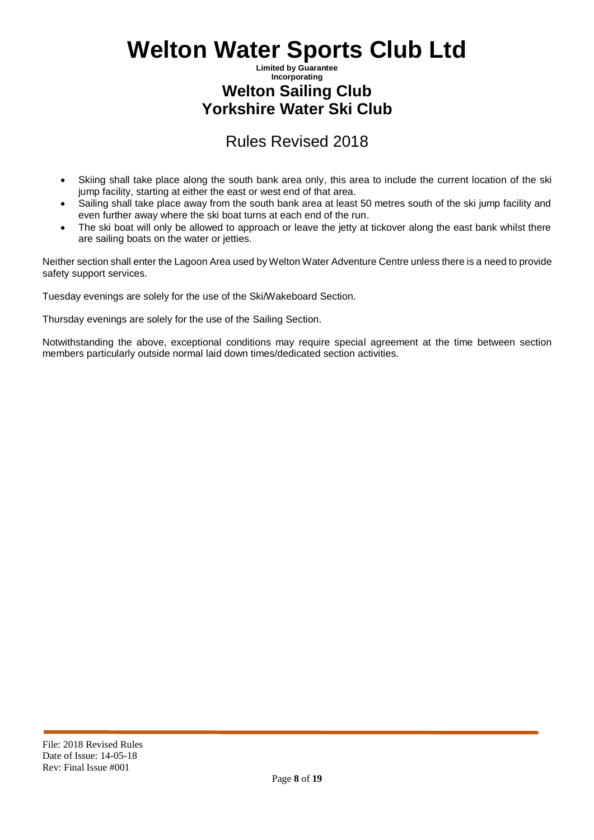## **Limited by Guarantee Incorporating Welton Sailing Club Yorkshire Water Ski Club**

# Rules Revised 2018

- Skiing shall take place along the south bank area only, this area to include the current location of the ski jump facility, starting at either the east or west end of that area.
- Sailing shall take place away from the south bank area at least 50 metres south of the ski jump facility and even further away where the ski boat turns at each end of the run.
- The ski boat will only be allowed to approach or leave the jetty at tickover along the east bank whilst there are sailing boats on the water or jetties.

Neither section shall enter the Lagoon Area used by Welton Water Adventure Centre unless there is a need to provide safety support services.

Tuesday evenings are solely for the use of the Ski/Wakeboard Section.

Thursday evenings are solely for the use of the Sailing Section.

Notwithstanding the above, exceptional conditions may require special agreement at the time between section members particularly outside normal laid down times/dedicated section activities.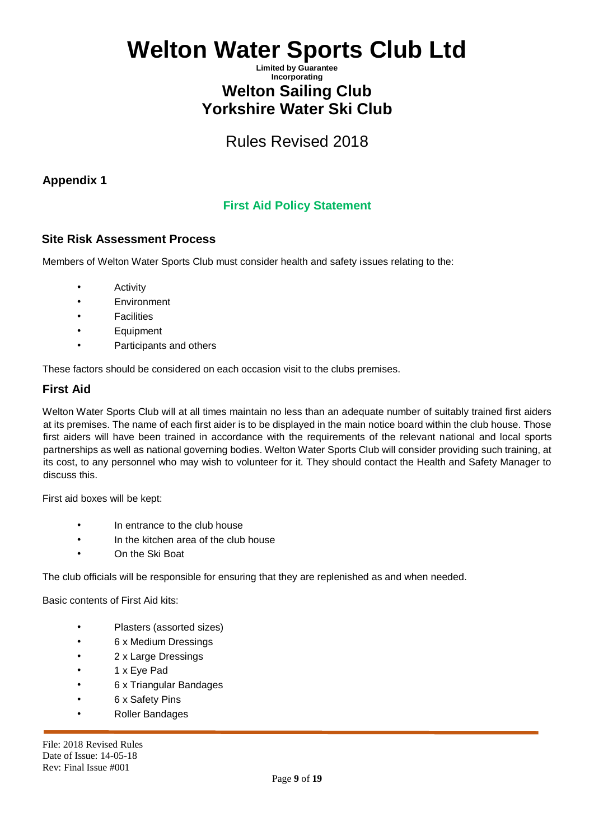## **Limited by Guarantee Incorporating Welton Sailing Club Yorkshire Water Ski Club**

# Rules Revised 2018

## **Appendix 1**

# **First Aid Policy Statement**

## **Site Risk Assessment Process**

Members of Welton Water Sports Club must consider health and safety issues relating to the:

- Activity
- Environment
- **Facilities**
- Equipment
- Participants and others

These factors should be considered on each occasion visit to the clubs premises.

### **First Aid**

Welton Water Sports Club will at all times maintain no less than an adequate number of suitably trained first aiders at its premises. The name of each first aider is to be displayed in the main notice board within the club house. Those first aiders will have been trained in accordance with the requirements of the relevant national and local sports partnerships as well as national governing bodies. Welton Water Sports Club will consider providing such training, at its cost, to any personnel who may wish to volunteer for it. They should contact the Health and Safety Manager to discuss this.

First aid boxes will be kept:

- In entrance to the club house
- In the kitchen area of the club house
- On the Ski Boat

The club officials will be responsible for ensuring that they are replenished as and when needed.

Basic contents of First Aid kits:

- Plasters (assorted sizes)
- 6 x Medium Dressings
- 2 x Large Dressings
- 1 x Eye Pad
- 6 x Triangular Bandages
- 6 x Safety Pins
- Roller Bandages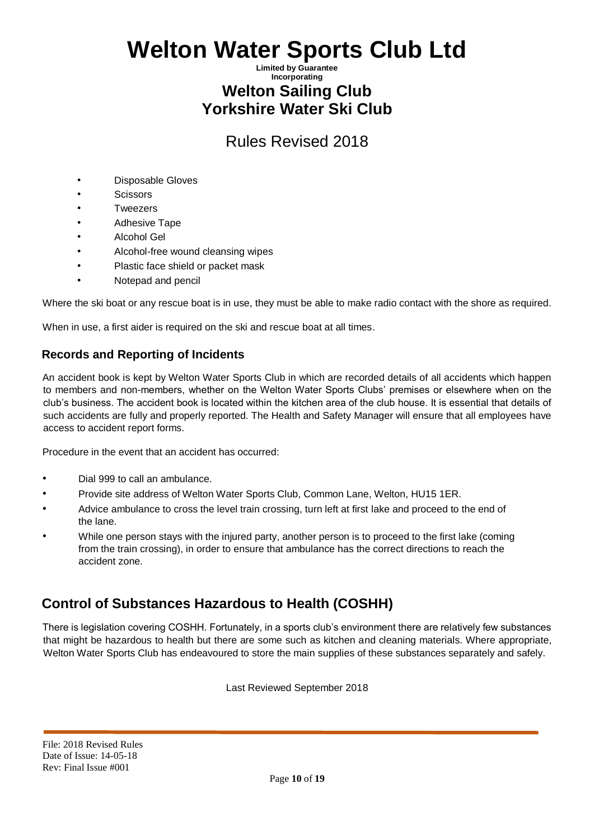## **Limited by Guarantee Incorporating Welton Sailing Club Yorkshire Water Ski Club**

# Rules Revised 2018

- Disposable Gloves
- Scissors
- **Tweezers**
- Adhesive Tape
- Alcohol Gel
- Alcohol-free wound cleansing wipes
- Plastic face shield or packet mask
- Notepad and pencil

Where the ski boat or any rescue boat is in use, they must be able to make radio contact with the shore as required.

When in use, a first aider is required on the ski and rescue boat at all times.

## **Records and Reporting of Incidents**

An accident book is kept by Welton Water Sports Club in which are recorded details of all accidents which happen to members and non-members, whether on the Welton Water Sports Clubs' premises or elsewhere when on the club's business. The accident book is located within the kitchen area of the club house. It is essential that details of such accidents are fully and properly reported. The Health and Safety Manager will ensure that all employees have access to accident report forms.

Procedure in the event that an accident has occurred:

- Dial 999 to call an ambulance.
- Provide site address of Welton Water Sports Club, Common Lane, Welton, HU15 1ER.
- Advice ambulance to cross the level train crossing, turn left at first lake and proceed to the end of the lane.
- While one person stays with the injured party, another person is to proceed to the first lake (coming from the train crossing), in order to ensure that ambulance has the correct directions to reach the accident zone.

# **Control of Substances Hazardous to Health (COSHH)**

There is legislation covering COSHH. Fortunately, in a sports club's environment there are relatively few substances that might be hazardous to health but there are some such as kitchen and cleaning materials. Where appropriate, Welton Water Sports Club has endeavoured to store the main supplies of these substances separately and safely.

Last Reviewed September 2018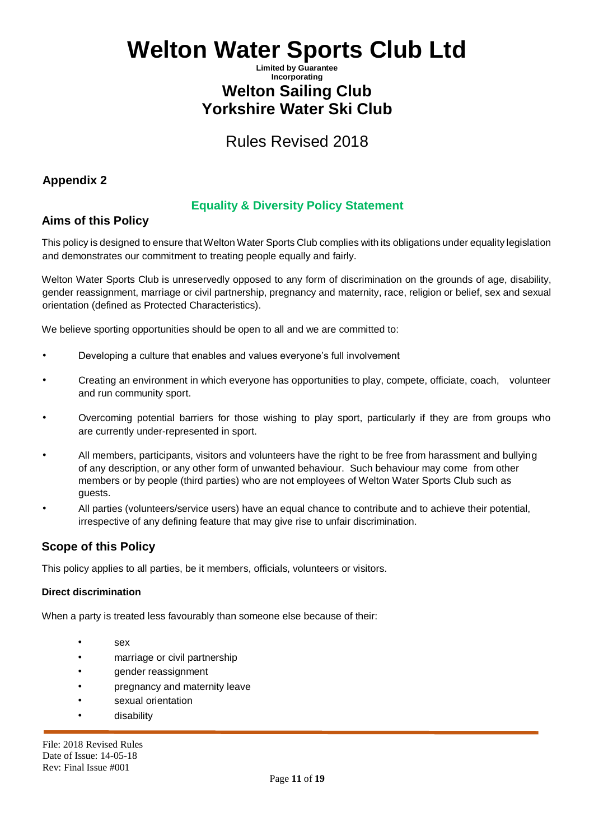## **Limited by Guarantee Incorporating Welton Sailing Club Yorkshire Water Ski Club**

Rules Revised 2018

## **Appendix 2**

# **Equality & Diversity Policy Statement**

# **Aims of this Policy**

This policy is designed to ensure that Welton Water Sports Club complies with its obligations under equality legislation and demonstrates our commitment to treating people equally and fairly.

Welton Water Sports Club is unreservedly opposed to any form of discrimination on the grounds of age, disability, gender reassignment, marriage or civil partnership, pregnancy and maternity, race, religion or belief, sex and sexual orientation (defined as Protected Characteristics).

We believe sporting opportunities should be open to all and we are committed to:

- Developing a culture that enables and values everyone's full involvement
- Creating an environment in which everyone has opportunities to play, compete, officiate, coach, volunteer and run community sport.
- Overcoming potential barriers for those wishing to play sport, particularly if they are from groups who are currently under-represented in sport.
- All members, participants, visitors and volunteers have the right to be free from harassment and bullying of any description, or any other form of unwanted behaviour. Such behaviour may come from other members or by people (third parties) who are not employees of Welton Water Sports Club such as guests.
- All parties (volunteers/service users) have an equal chance to contribute and to achieve their potential, irrespective of any defining feature that may give rise to unfair discrimination.

# **Scope of this Policy**

This policy applies to all parties, be it members, officials, volunteers or visitors.

### **Direct discrimination**

When a party is treated less favourably than someone else because of their:

- sex
- marriage or civil partnership
- gender reassignment
- pregnancy and maternity leave
- sexual orientation
- disability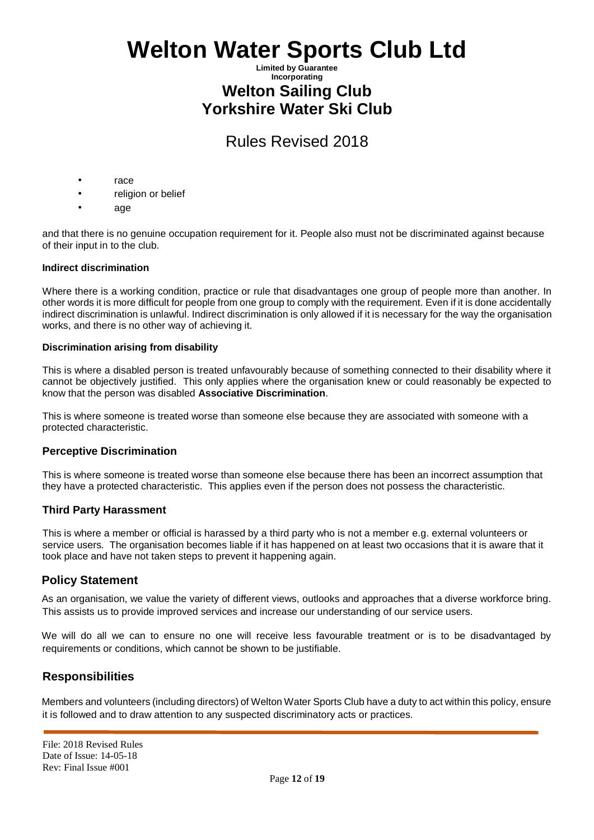### **Limited by Guarantee Incorporating Welton Sailing Club Yorkshire Water Ski Club**

# Rules Revised 2018

- race
- religion or belief
- age

and that there is no genuine occupation requirement for it. People also must not be discriminated against because of their input in to the club.

### **Indirect discrimination**

Where there is a working condition, practice or rule that disadvantages one group of people more than another. In other words it is more difficult for people from one group to comply with the requirement. Even if it is done accidentally indirect discrimination is unlawful. Indirect discrimination is only allowed if it is necessary for the way the organisation works, and there is no other way of achieving it.

### **Discrimination arising from disability**

This is where a disabled person is treated unfavourably because of something connected to their disability where it cannot be objectively justified. This only applies where the organisation knew or could reasonably be expected to know that the person was disabled **Associative Discrimination**.

This is where someone is treated worse than someone else because they are associated with someone with a protected characteristic.

### **Perceptive Discrimination**

This is where someone is treated worse than someone else because there has been an incorrect assumption that they have a protected characteristic. This applies even if the person does not possess the characteristic.

### **Third Party Harassment**

This is where a member or official is harassed by a third party who is not a member e.g. external volunteers or service users. The organisation becomes liable if it has happened on at least two occasions that it is aware that it took place and have not taken steps to prevent it happening again.

### **Policy Statement**

As an organisation, we value the variety of different views, outlooks and approaches that a diverse workforce bring. This assists us to provide improved services and increase our understanding of our service users.

We will do all we can to ensure no one will receive less favourable treatment or is to be disadvantaged by requirements or conditions, which cannot be shown to be justifiable.

### **Responsibilities**

Members and volunteers (including directors) of Welton Water Sports Club have a duty to act within this policy, ensure it is followed and to draw attention to any suspected discriminatory acts or practices.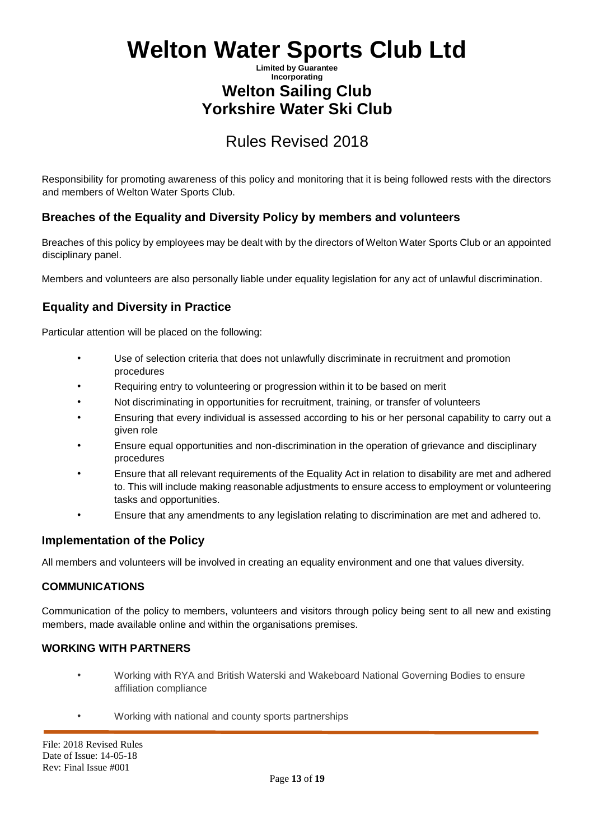## **Limited by Guarantee Incorporating Welton Sailing Club Yorkshire Water Ski Club**

# Rules Revised 2018

Responsibility for promoting awareness of this policy and monitoring that it is being followed rests with the directors and members of Welton Water Sports Club.

# **Breaches of the Equality and Diversity Policy by members and volunteers**

Breaches of this policy by employees may be dealt with by the directors of Welton Water Sports Club or an appointed disciplinary panel.

Members and volunteers are also personally liable under equality legislation for any act of unlawful discrimination.

# **Equality and Diversity in Practice**

Particular attention will be placed on the following:

- Use of selection criteria that does not unlawfully discriminate in recruitment and promotion procedures
- Requiring entry to volunteering or progression within it to be based on merit
- Not discriminating in opportunities for recruitment, training, or transfer of volunteers
- Ensuring that every individual is assessed according to his or her personal capability to carry out a given role
- Ensure equal opportunities and non-discrimination in the operation of grievance and disciplinary procedures
- Ensure that all relevant requirements of the Equality Act in relation to disability are met and adhered to. This will include making reasonable adjustments to ensure access to employment or volunteering tasks and opportunities.
- Ensure that any amendments to any legislation relating to discrimination are met and adhered to.

### **Implementation of the Policy**

All members and volunteers will be involved in creating an equality environment and one that values diversity.

### **COMMUNICATIONS**

Communication of the policy to members, volunteers and visitors through policy being sent to all new and existing members, made available online and within the organisations premises.

### **WORKING WITH PARTNERS**

- Working with RYA and British Waterski and Wakeboard National Governing Bodies to ensure affiliation compliance
- Working with national and county sports partnerships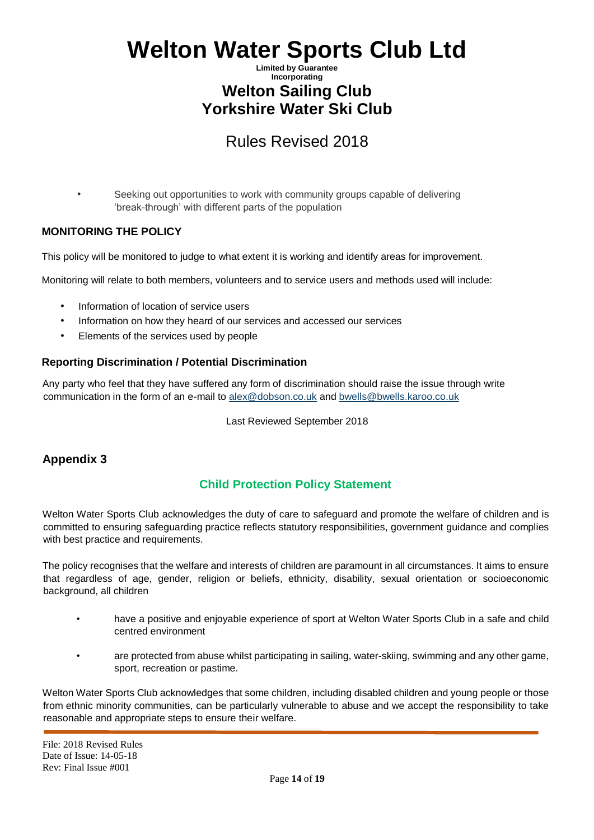## **Limited by Guarantee Incorporating Welton Sailing Club Yorkshire Water Ski Club**

# Rules Revised 2018

Seeking out opportunities to work with community groups capable of delivering 'break-through' with different parts of the population

### **MONITORING THE POLICY**

This policy will be monitored to judge to what extent it is working and identify areas for improvement.

Monitoring will relate to both members, volunteers and to service users and methods used will include:

- Information of location of service users
- Information on how they heard of our services and accessed our services
- Elements of the services used by people

### **Reporting Discrimination / Potential Discrimination**

Any party who feel that they have suffered any form of discrimination should raise the issue through write communication in the form of an e-mail to alex@dobson.co.uk and bwells@bwells.karoo.co.uk

Last Reviewed September 2018

# **Appendix 3**

# **Child Protection Policy Statement**

Welton Water Sports Club acknowledges the duty of care to safeguard and promote the welfare of children and is committed to ensuring safeguarding practice reflects statutory responsibilities, government guidance and complies with best practice and requirements.

The policy recognises that the welfare and interests of children are paramount in all circumstances. It aims to ensure that regardless of age, gender, religion or beliefs, ethnicity, disability, sexual orientation or socioeconomic background, all children

- have a positive and enjoyable experience of sport at Welton Water Sports Club in a safe and child centred environment
- are protected from abuse whilst participating in sailing, water-skiing, swimming and any other game, sport, recreation or pastime.

Welton Water Sports Club acknowledges that some children, including disabled children and young people or those from ethnic minority communities, can be particularly vulnerable to abuse and we accept the responsibility to take reasonable and appropriate steps to ensure their welfare.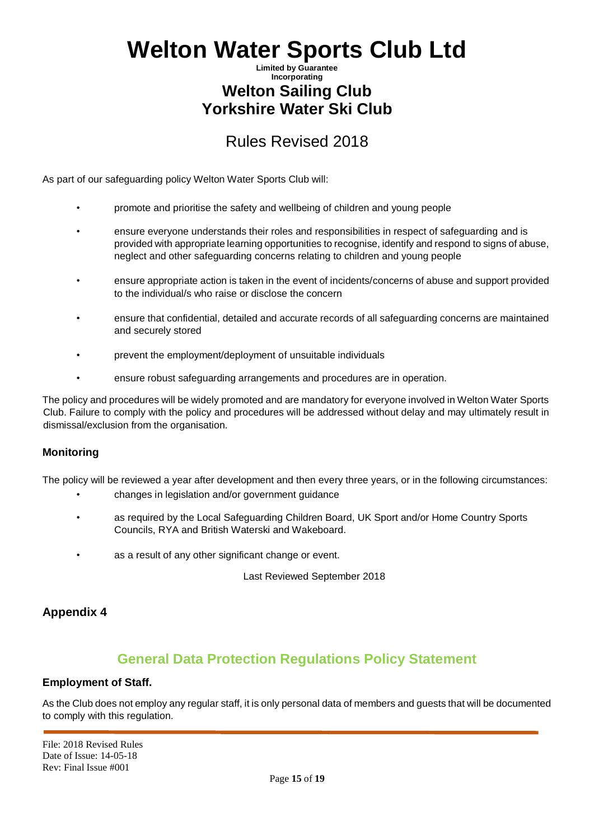## **Limited by Guarantee Incorporating Welton Sailing Club Yorkshire Water Ski Club**

# Rules Revised 2018

As part of our safeguarding policy Welton Water Sports Club will:

- promote and prioritise the safety and wellbeing of children and young people
- ensure everyone understands their roles and responsibilities in respect of safeguarding and is provided with appropriate learning opportunities to recognise, identify and respond to signs of abuse, neglect and other safeguarding concerns relating to children and young people
- ensure appropriate action is taken in the event of incidents/concerns of abuse and support provided to the individual/s who raise or disclose the concern
- ensure that confidential, detailed and accurate records of all safeguarding concerns are maintained and securely stored
- prevent the employment/deployment of unsuitable individuals
- ensure robust safeguarding arrangements and procedures are in operation.

The policy and procedures will be widely promoted and are mandatory for everyone involved in Welton Water Sports Club. Failure to comply with the policy and procedures will be addressed without delay and may ultimately result in dismissal/exclusion from the organisation.

### **Monitoring**

The policy will be reviewed a year after development and then every three years, or in the following circumstances:

- changes in legislation and/or government guidance
- as required by the Local Safeguarding Children Board, UK Sport and/or Home Country Sports Councils, RYA and British Waterski and Wakeboard.
- as a result of any other significant change or event.

Last Reviewed September 2018

# **Appendix 4**

# **General Data Protection Regulations Policy Statement**

### **Employment of Staff.**

As the Club does not employ any regular staff, it is only personal data of members and guests that will be documented to comply with this regulation.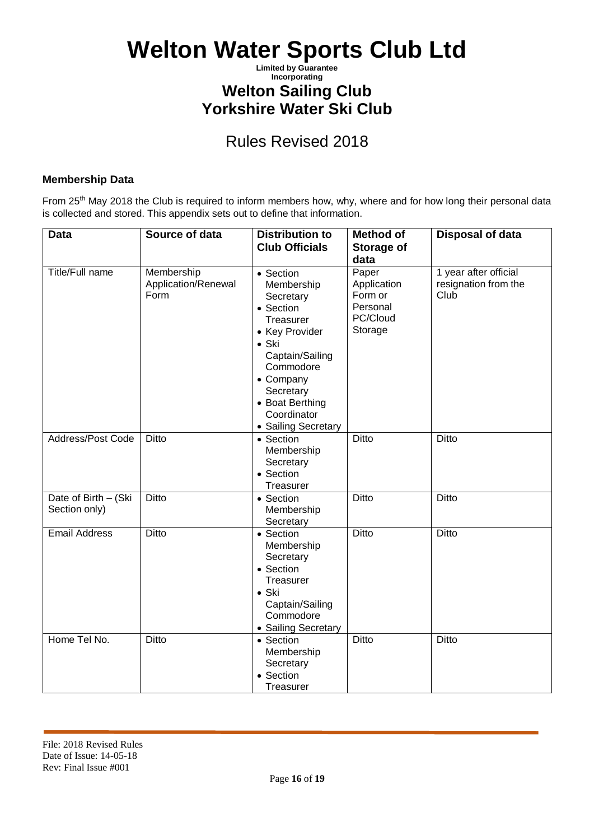**Limited by Guarantee Incorporating**

# **Welton Sailing Club**

**Yorkshire Water Ski Club**

# Rules Revised 2018

### **Membership Data**

From 25<sup>th</sup> May 2018 the Club is required to inform members how, why, where and for how long their personal data is collected and stored. This appendix sets out to define that information.

| <b>Data</b>                           | Source of data                            | <b>Distribution to</b><br><b>Club Officials</b>                                                                                                                                                                      | <b>Method of</b><br>Storage of                                             | <b>Disposal of data</b>                               |
|---------------------------------------|-------------------------------------------|----------------------------------------------------------------------------------------------------------------------------------------------------------------------------------------------------------------------|----------------------------------------------------------------------------|-------------------------------------------------------|
| <b>Title/Full name</b>                | Membership<br>Application/Renewal<br>Form | • Section<br>Membership<br>Secretary<br>• Section<br>Treasurer<br>• Key Provider<br>$\bullet$ Ski<br>Captain/Sailing<br>Commodore<br>• Company<br>Secretary<br>• Boat Berthing<br>Coordinator<br>• Sailing Secretary | data<br>Paper<br>Application<br>Form or<br>Personal<br>PC/Cloud<br>Storage | 1 year after official<br>resignation from the<br>Club |
| Address/Post Code                     | <b>Ditto</b>                              | • Section<br>Membership<br>Secretary<br>• Section<br>Treasurer                                                                                                                                                       | <b>Ditto</b>                                                               | <b>Ditto</b>                                          |
| Date of Birth - (Ski<br>Section only) | Ditto                                     | • Section<br>Membership<br>Secretary                                                                                                                                                                                 | <b>Ditto</b>                                                               | <b>Ditto</b>                                          |
| <b>Email Address</b>                  | <b>Ditto</b>                              | • Section<br>Membership<br>Secretary<br>• Section<br>Treasurer<br>$\bullet$ Ski<br>Captain/Sailing<br>Commodore<br>• Sailing Secretary                                                                               | <b>Ditto</b>                                                               | <b>Ditto</b>                                          |
| Home Tel No.                          | <b>Ditto</b>                              | • Section<br>Membership<br>Secretary<br>• Section<br>Treasurer                                                                                                                                                       | <b>Ditto</b>                                                               | <b>Ditto</b>                                          |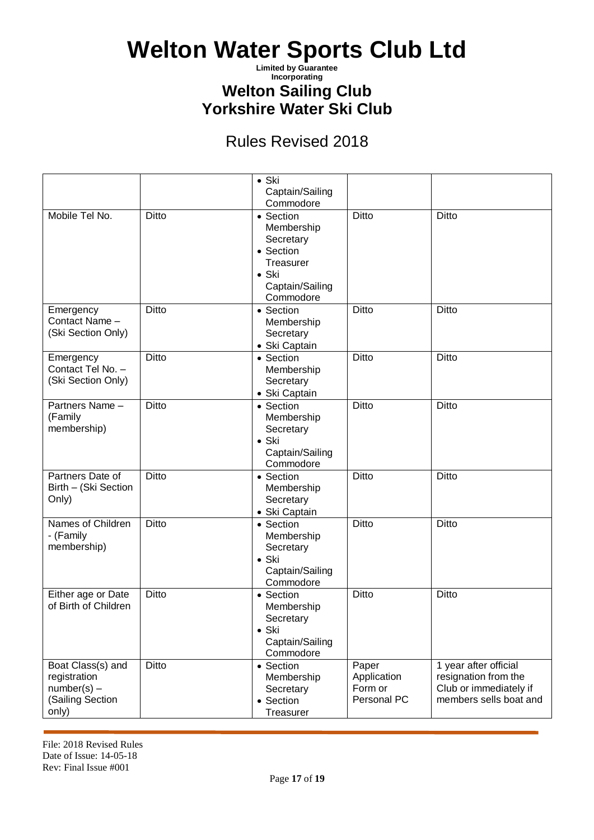**Limited by Guarantee Incorporating**

**Welton Sailing Club**

**Yorkshire Water Ski Club**

# Rules Revised 2018

|                                                                                 |              | $\bullet$ Ski<br>Captain/Sailing<br>Commodore                                                                   |                                                |                                                                                                   |
|---------------------------------------------------------------------------------|--------------|-----------------------------------------------------------------------------------------------------------------|------------------------------------------------|---------------------------------------------------------------------------------------------------|
| Mobile Tel No.                                                                  | Ditto        | • Section<br>Membership<br>Secretary<br>• Section<br>Treasurer<br>$\bullet$ Ski<br>Captain/Sailing<br>Commodore | Ditto                                          | Ditto                                                                                             |
| Emergency<br>Contact Name -<br>(Ski Section Only)                               | <b>Ditto</b> | • Section<br>Membership<br>Secretary<br>• Ski Captain                                                           | <b>Ditto</b>                                   | Ditto                                                                                             |
| Emergency<br>Contact Tel No. -<br>(Ski Section Only)                            | <b>Ditto</b> | • Section<br>Membership<br>Secretary<br>• Ski Captain                                                           | <b>Ditto</b>                                   | Ditto                                                                                             |
| Partners Name -<br>(Family<br>membership)                                       | Ditto        | • Section<br>Membership<br>Secretary<br>$\bullet$ Ski<br>Captain/Sailing<br>Commodore                           | <b>Ditto</b>                                   | Ditto                                                                                             |
| Partners Date of<br>Birth - (Ski Section<br>Only)                               | Ditto        | • Section<br>Membership<br>Secretary<br>• Ski Captain                                                           | <b>Ditto</b>                                   | Ditto                                                                                             |
| Names of Children<br>- (Family<br>membership)                                   | Ditto        | • Section<br>Membership<br>Secretary<br>$\bullet$ Ski<br>Captain/Sailing<br>Commodore                           | <b>Ditto</b>                                   | Ditto                                                                                             |
| Either age or Date<br>of Birth of Children                                      | Ditto        | • Section<br>Membership<br>Secretary<br>$\bullet$ Ski<br>Captain/Sailing<br>Commodore                           | Ditto                                          | Ditto                                                                                             |
| Boat Class(s) and<br>registration<br>$number(s) -$<br>(Sailing Section<br>only) | Ditto        | • Section<br>Membership<br>Secretary<br>• Section<br>Treasurer                                                  | Paper<br>Application<br>Form or<br>Personal PC | 1 year after official<br>resignation from the<br>Club or immediately if<br>members sells boat and |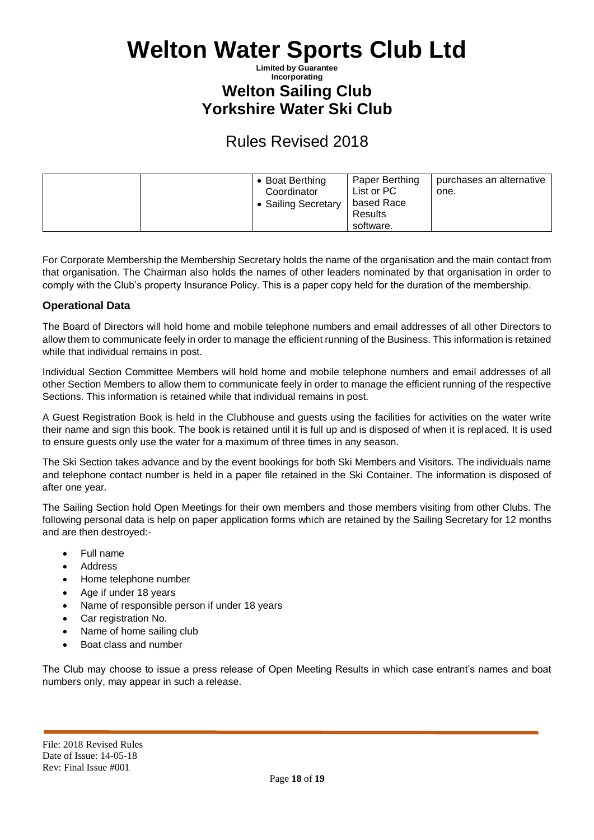### **Limited by Guarantee Incorporating Welton Sailing Club Yorkshire Water Ski Club**

# Rules Revised 2018

| • Boat Berthing<br>Coordinator<br>• Sailing Secretary | Paper Berthing<br>List or PC<br>based Race<br>Results<br>software. | purchases an alternative<br>one. |
|-------------------------------------------------------|--------------------------------------------------------------------|----------------------------------|
|-------------------------------------------------------|--------------------------------------------------------------------|----------------------------------|

For Corporate Membership the Membership Secretary holds the name of the organisation and the main contact from that organisation. The Chairman also holds the names of other leaders nominated by that organisation in order to comply with the Club's property Insurance Policy. This is a paper copy held for the duration of the membership.

### **Operational Data**

The Board of Directors will hold home and mobile telephone numbers and email addresses of all other Directors to allow them to communicate feely in order to manage the efficient running of the Business. This information is retained while that individual remains in post.

Individual Section Committee Members will hold home and mobile telephone numbers and email addresses of all other Section Members to allow them to communicate feely in order to manage the efficient running of the respective Sections. This information is retained while that individual remains in post.

A Guest Registration Book is held in the Clubhouse and guests using the facilities for activities on the water write their name and sign this book. The book is retained until it is full up and is disposed of when it is replaced. It is used to ensure guests only use the water for a maximum of three times in any season.

The Ski Section takes advance and by the event bookings for both Ski Members and Visitors. The individuals name and telephone contact number is held in a paper file retained in the Ski Container. The information is disposed of after one year.

The Sailing Section hold Open Meetings for their own members and those members visiting from other Clubs. The following personal data is help on paper application forms which are retained by the Sailing Secretary for 12 months and are then destroyed:-

- Full name
- Address
- Home telephone number
- Age if under 18 years
- Name of responsible person if under 18 years
- Car registration No.
- Name of home sailing club
- Boat class and number

The Club may choose to issue a press release of Open Meeting Results in which case entrant's names and boat numbers only, may appear in such a release.